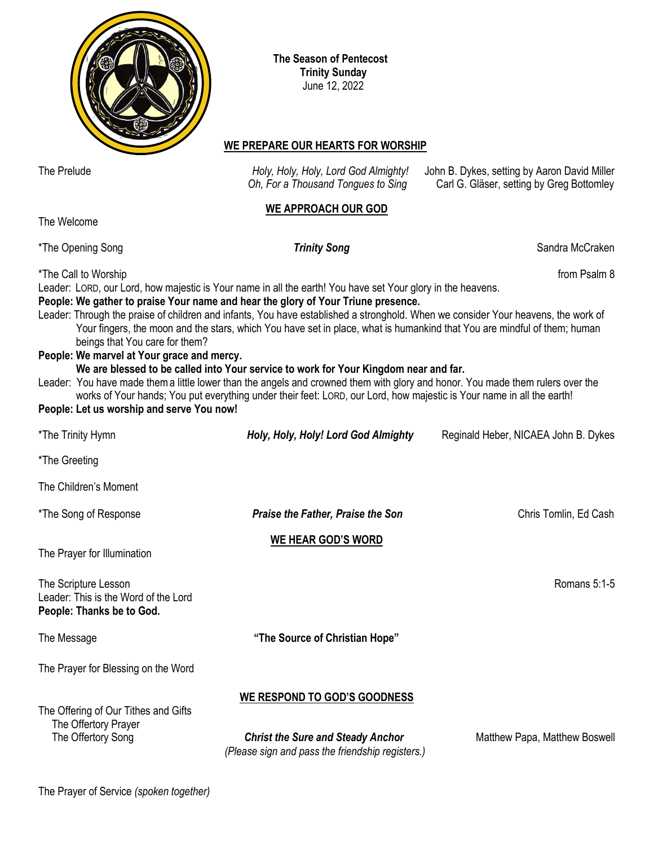

 **The Season of Pentecost Trinity Sunday** June 12, 2022

## **WE PREPARE OUR HEARTS FOR WORSHIP**

The Prelude *Holy, Holy, Holy, Lord God Almighty!* John B. Dykes, setting by Aaron David Miller

*Oh, For a Thousand Tongues to Sing* Carl G. Gläser, setting by Greg Bottomley **WE APPROACH OUR GOD** The Welcome \*The Opening Song **Sandra McCraken Trinity Song** Sandra McCraken \*The Call to Worship from Psalm 8 Leader: LORD, our Lord, how majestic is Your name in all the earth! You have set Your glory in the heavens. **People: We gather to praise Your name and hear the glory of Your Triune presence.** Leader: Through the praise of children and infants, You have established a stronghold. When we consider Your heavens, the work of Your fingers, the moon and the stars, which You have set in place, what is humankind that You are mindful of them; human beings that You care for them? **People: We marvel at Your grace and mercy. We are blessed to be called into Your service to work for Your Kingdom near and far.** Leader: You have made thema little lower than the angels and crowned them with glory and honor. You made them rulers over the works of Your hands; You put everything under their feet: LORD, our Lord, how majestic is Your name in all the earth! **People: Let us worship and serve You now!** \*The Trinity Hymn *Holy, Holy, Holy! Lord God Almighty* Reginald Heber, NICAEA John B. Dykes \*The Greeting The Children's Moment \*The Song of Response *Praise the Father, Praise the Son* Chris Tomlin, Ed Cash **WE HEAR GOD'S WORD** The Prayer for Illumination The Scripture Lesson Romans 5:1-5

Leader: This is the Word of the Lord **People: Thanks be to God.**

The Message **"The Source of Christian Hope"**

The Prayer for Blessing on the Word

**WE RESPOND TO GOD'S GOODNESS**

The Offering of Our Tithes and Gifts The Offertory Prayer

 The Offertory Song *Christ the Sure and Steady Anchor* Matthew Papa, Matthew Boswell *(Please sign and pass the friendship registers.)*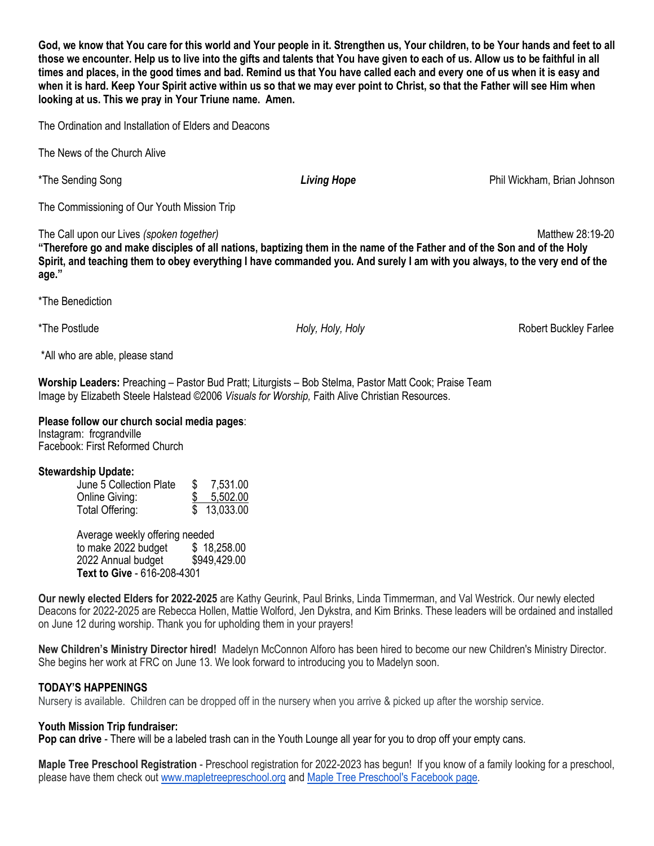**God, we know that You care for this world and Your people in it. Strengthen us, Your children, to be Your hands and feet to all those we encounter. Help us to live into the gifts and talents that You have given to each of us. Allow us to be faithful in all times and places, in the good times and bad. Remind us that You have called each and every one of us when it is easy and when it is hard. Keep Your Spirit active within us so that we may ever point to Christ, so that the Father will see Him when looking at us. This we pray in Your Triune name. Amen.**

The Ordination and Installation of Elders and Deacons

The News of the Church Alive

The Commissioning of Our Youth Mission Trip

The Call upon our Lives *(spoken together)* Matthew 28:19-20

**"Therefore go and make disciples of all nations, baptizing them in the name of the Father and of the Son and of the Holy Spirit, and teaching them to obey everything I have commanded you. And surely I am with you always, to the very end of the age."**

\*The Benediction

\*All who are able, please stand

**Worship Leaders:** Preaching – Pastor Bud Pratt; Liturgists – Bob Stelma, Pastor Matt Cook; Praise Team Image by Elizabeth Steele Halstead ©2006 *Visuals for Worship,* Faith Alive Christian Resources.

## **Please follow our church social media pages**:

Instagram: frcgrandville Facebook: First Reformed Church

### **Stewardship Update:**

| June 5 Collection Plate | S  | 7,531.00    |
|-------------------------|----|-------------|
| Online Giving:          | \$ | 5,502.00    |
| Total Offering:         |    | \$13,033.00 |

Average weekly offering needed<br>to make 2022 budget \$18,258.00 to make 2022 budget  $$18,258.00$ <br>2022 Annual budget \$949.429.00 2022 Annual budget **Text to Give** - 616-208-4301

**Our newly elected Elders for 2022-2025** are Kathy Geurink, Paul Brinks, Linda Timmerman, and Val Westrick. Our newly elected Deacons for 2022-2025 are Rebecca Hollen, Mattie Wolford, Jen Dykstra, and Kim Brinks. These leaders will be ordained and installed on June 12 during worship. Thank you for upholding them in your prayers!

**New Children's Ministry Director hired!** Madelyn McConnon Alforo has been hired to become our new Children's Ministry Director. She begins her work at FRC on June 13. We look forward to introducing you to Madelyn soon.

# **TODAY'S HAPPENINGS**

Nursery is available. Children can be dropped off in the nursery when you arrive & picked up after the worship service.

### **Youth Mission Trip fundraiser:**

**Pop can drive** - There will be a labeled trash can in the Youth Lounge all year for you to drop off your empty cans.

**Maple Tree Preschool Registration** - Preschool registration for 2022-2023 has begun! If you know of a family looking for a preschool, please have them check out [www.mapletreepreschool.org](http://www.mapletreepreschool.org/) and [Maple Tree Preschool's](https://www.facebook.com/Maple-Tree-Preschool-107534002642706) Facebook page.

\*The Sending Song *Living Hope* Phil Wickham, Brian Johnson

\*The Postlude *Holy, Holy, Holy* Robert Buckley Farlee